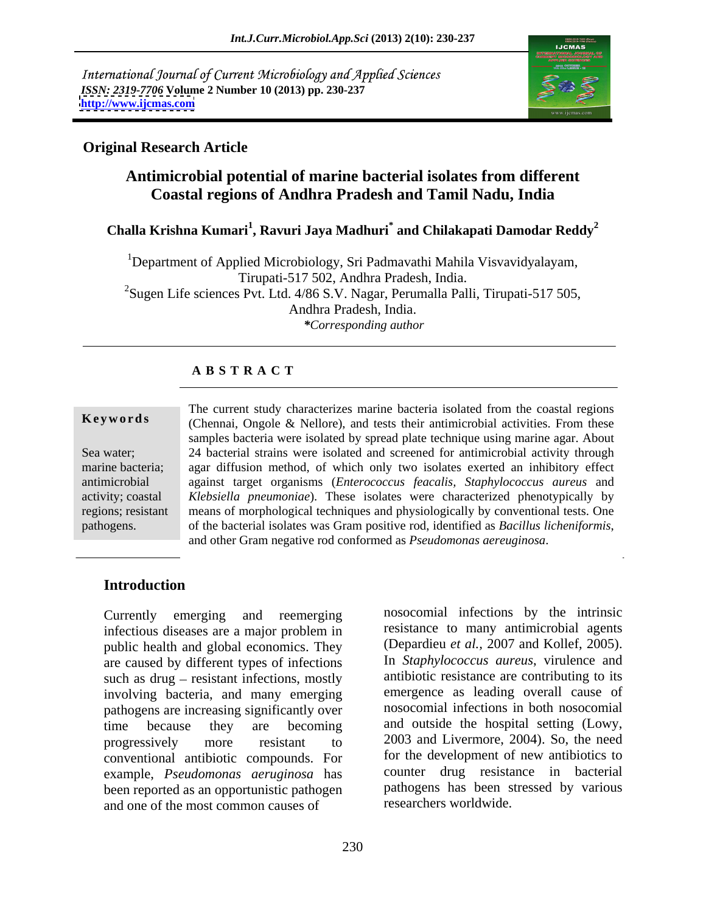International Journal of Current Microbiology and Applied Sciences *ISSN: 2319-7706* **Volume 2 Number 10 (2013) pp. 230-237 <http://www.ijcmas.com>**



## **Original Research Article**

# **Antimicrobial potential of marine bacterial isolates from different Coastal regions of Andhra Pradesh and Tamil Nadu, India**

# **Challa Krishna Kumari<sup>1</sup> , Ravuri Jaya Madhuri\* and Chilakapati Damodar Reddy<sup>2</sup>**

<sup>1</sup>Department of Applied Microbiology, Sri Padmavathi Mahila Visvavidyalayam, Tirupati-517 502, Andhra Pradesh, India. <sup>2</sup>Sugen Life sciences Pvt. Ltd.  $4/86$  S.V. Nagar, Perumalla Palli, Tirupati-517 505, Andhra Pradesh, India. *\*Corresponding author*

# **A B S T R A C T**

**Keywords** (Chennai, Ongole & Nellore), and tests their antimicrobial activities. From these Sea water; 24 bacterial strains were isolated and screened for antimicrobial activity through marine bacteria; agar diffusion method, of which only two isolates exerted an inhibitory effect antimicrobial against target organisms (*Enterococcus feacalis, Staphylococcus aureus* and activity; coastal *Klebsiella pneumoniae*). These isolates were characterized phenotypically by regions; resistant means of morphological techniques and physiologically by conventional tests. One pathogens. of the bacterial isolates was Gram positive rod, identified as Bacillus licheniformis, The current study characterizes marine bacteria isolated from the coastal regions samples bacteria were isolated by spread plate technique using marine agar. About of the bacterial isolates was Gram positive rod, identified as *Bacillus licheniformis*, and other Gram negative rod conformed as *Pseudomonas aereuginosa*.

### **Introduction**

infectious diseases are a major problem in public health and global economics. They are caused by different types of infections such as  $drug -$  resistant infections, mostly involving bacteria, and many emerging pathogens are increasing significantly over time because they are becoming and outside the hospital setting (Lowy, progressively more resistant to 2003 and Livermore, 2004). So, the need conventional antibiotic compounds. For example, *Pseudomonas aeruginosa* has been reported as an opportunistic pathogen and one of the most common causes of

Currently emerging and reemerging nosocomial infections by the intrinsic resistance to many antimicrobial agents (Depardieu *et al.,* 2007 and Kollef, 2005). In *Staphylococcus aureus*, virulence and antibiotic resistance are contributing to its emergence as leading overall cause of nosocomial infections in both nosocomial for the development of new antibiotics to counter drug resistance in bacterial pathogens has been stressed by various researchers worldwide.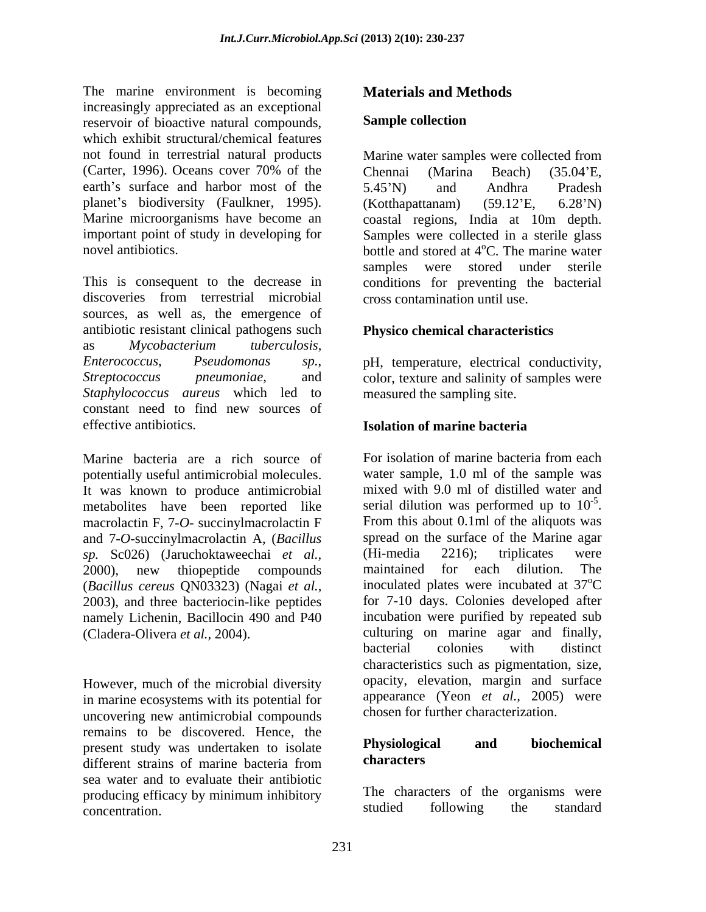The marine environment is becoming increasingly appreciated as an exceptional<br>reservoir of bioactive natural compounds. Sample collection reservoir of bioactive natural compounds, which exhibit structural/chemical features not found in terrestrial natural products Marine water samples were collected from (Carter, 1996). Oceans cover 70% of the Chennai (Marina Beach) (35.04'E, earth's surface and harbor most of the 5.45'N) and Andhra Pradesh planet's biodiversity (Faulkner, 1995). (Kotthapattanam) (59.12'E, 6.28'N) Marine microorganisms have become an coastal regions, India at 10m depth. important point of study in developing for Samples were collected in a sterile glass

This is consequent to the decrease in conditions for preventing the bacterial discoveries from terrestrial microbial sources, as well as, the emergence of antibiotic resistant clinical pathogens such as *Mycobacterium tuberculosis*, *Enterococcus*, *Pseudomonas sp.*, pH, temperature, electrical conductivity, *Streptococcus pneumoniae*, and color, texture and salinity of samples were *Staphylococcus aureus* which led to constant need to find new sources of effective antibiotics. **Solution Isolation** of marine bacteria

Marine bacteria are a rich source of For isolation of marine bacteria from each potentially useful antimicrobial molecules. It was known to produce antimicrobial macrolactin F, 7-*O*- succinylmacrolactin F From this about 0.1ml of the aliquots was and 7-*O*-succinylmacrolactin A, (*Bacillus* spread on the surface of the Mari<br>sp Sc026) (Jaruchoktaweechai et al. (Hi-media 2216): triplicates *sp.* Sc026) (Jaruchoktaweechai *et al.,* 2000), new thiopeptide compounds maintained for each dilution. The (*Bacillus cereus* QN03323) (Nagai *et al.,* 2003), and three bacteriocin-like peptides namely Lichenin, Bacillocin 490 and P40

However, much of the microbial diversity in marine ecosystems with its potential for uncovering new antimicrobial compounds remains to be discovered. Hence, the<br>present study was undertaken to isolate **Physiological** and biochemical present study was undertaken to isolate **Physiologic**<br>different strains of marine bacteria from **characters** different strains of marine bacteria from characters sea water and to evaluate their antibiotic producing efficacy by minimum inhibitory<br>concentration studied following the standard concentration. The standard studied following the standard

# **Materials and Methods**

### **Sample collection**

novel antibiotics.  $\qquad \qquad$  bottle and stored at 4<sup>o</sup>C. The marine water Chennai (Marina Beach) (35.04 E, 5.45 N) and Andhra Pradesh (Kotthapattanam) (59.12 E, 6.28 N) <sup>o</sup>C. The marine water samples were stored under sterile cross contamination until use.

### **Physico chemical characteristics**

measured the sampling site.

### **Isolation of marine bacteria**

metabolites have been reported like serial dilution was performed up to  $10^{-5}$ . (Cladera-Olivera *et al.,* 2004). culturing on marine agar and finally, For isolation of marine bacteria from each water sample, 1.0 ml of the sample was mixed with 9.0 ml of distilled water and -5 serial dilution was performed up to  $10^{-5}$ .<br>From this about 0.1ml of the aliquots was spread on the surface of the Marine agar (Hi-media 2216); triplicates were maintained for each dilution. The inoculated plates were incubated at 37 <sup>o</sup>C for 7-10 days. Colonies developed after incubation were purified by repeated sub bacterial colonies with distinct characteristics such as pigmentation, size, opacity, elevation, margin and surface appearance (Yeon *et al.,* 2005) were chosen for further characterization.

#### **Physiological and biochemical characters**

The characters of the organisms were studied following the standard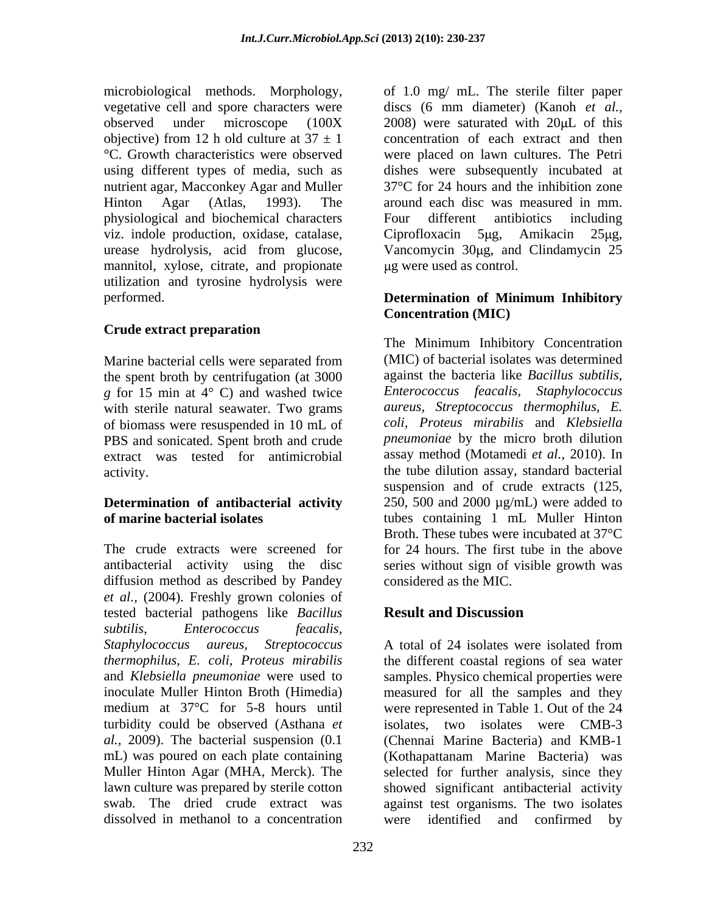vegetative cell and spore characters were using different types of media, such as nutrient agar, Macconkey Agar and Muller physiological and biochemical characters viz. indole production, oxidase, catalase, Ciprofloxacin 5µg, Amikacin 25µg, mannitol, xylose, citrate, and propionate ug were used as control. utilization and tyrosine hydrolysis were performed. **Determination of Minimum Inhibitory**

# **Crude extract preparation**

Marine bacterial cells were separated from the spent broth by centrifugation (at 3000 against the bacteria like *Bacillus subtilis*,  $\varrho$  for 15 min at 4 $\degree$  C) and washed twice *Enterococcus feacalis*, *Staphylococcus g* for 15 min at 4° C) and washed twice with sterile natural seawater. Two grams of biomass were resuspended in 10 mL of PBS and sonicated. Spent broth and crude extract was tested for antimicrobial

# **Determination of antibacterial activity**

The crude extracts were screened for for 24 hours. The first tube in the above antibacterial activity using the disc series without sign of visible growth was diffusion method as described by Pandey *et al.,* (2004). Freshly grown colonies of tested bacterial pathogens like *Bacillus subtilis*, *Enterococcus feacalis, Staphylococcus aureus, Streptococcus thermophilus, E. coli, Proteus mirabilis* the different coastal regions of sea water and *Klebsiella pneumoniae* were used to inoculate Muller Hinton Broth (Himedia) measured for all the samples and they medium at 37°C for 5-8 hours until were represented in Table 1. Out of the 24 turbidity could be observed (Asthana *et al.,* 2009). The bacterial suspension (0.1 (Chennai Marine Bacteria) and KMB-1 mL) was poured on each plate containing (Kothapattanam Marine Bacteria) was Muller Hinton Agar (MHA, Merck). The selected for further analysis, since they lawn culture was prepared by sterile cotton showed significant antibacterial activity swab. The dried crude extract was against test organisms. The two isolates dissolved in methanol to a concentration were identified and confirmed by

microbiological methods. Morphology, of 1.0 mg/ mL. The sterile filter paper observed under microscope  $(100X - 2008)$  were saturated with  $20\mu$ L of this objective) from 12 h old culture at  $37 \pm 1$  concentration of each extract and then °C. Growth characteristics were observed were placed on lawn cultures. The Petri Hinton Agar (Atlas, 1993). The around each disc was measured in mm. urease hydrolysis, acid from glucose, Vancomycin 30µg, and Clindamycin 25 discs (6 mm diameter) (Kanoh *et al.,* dishes were subsequently incubated at 37°C for 24 hours and the inhibition zone Four different antibiotics including Ciprofloxacin 5µg, Amikacin 25µg, g were used as control.

# **Concentration (MIC)**

activity. the tube dilution assay, standard bacterial **of marine bacterial isolates** tubes containing 1 mL Muller Hinton The Minimum Inhibitory Concentration (MIC) of bacterial isolates was determined against the bacteria like *Bacillus subtilis*, *Enterococcus feacalis, aureus, Streptococcus thermophilus, E. coli, Proteus mirabilis* and *Klebsiella pneumoniae* by the micro broth dilution assay method (Motamedi *et al.,* 2010). In suspension and of crude extracts (125, 250, 500 and 2000  $\mu$ g/mL) were added to Broth. These tubes were incubated at 37°C considered as the MIC.

# **Result and Discussion**

A total of 24 isolates were isolated from samples. Physico chemical properties were isolates, two isolates were CMB-3 were identified and confirmed by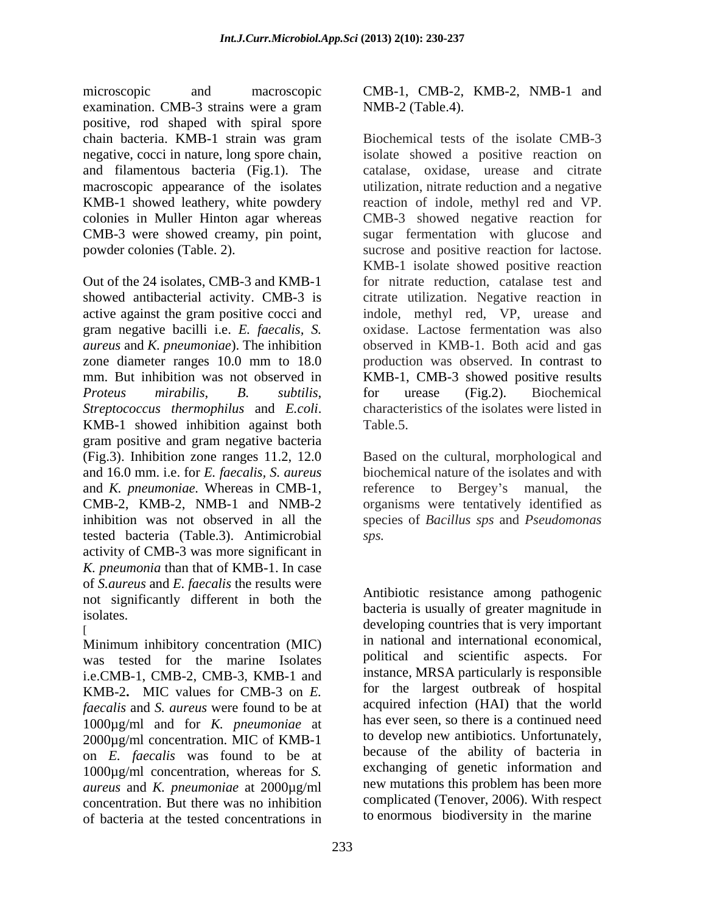microscopic and macroscopic CMB-1, CMB-2, KMB-2, NMB-1 and examination. CMB-3 strains were a gram MMB-2 (Table.4). positive, rod shaped with spiral spore CMB-3 were showed creamy, pin point,

*Streptococcus thermophilus* and *E.coli*. characteristics of the isolates were listed in KMB-1 showed inhibition against both Table.5. gram positive and gram negative bacteria (Fig.3). Inhibition zone ranges 11.2, 12.0 Based on the cultural, morphological and and 16.0 mm. i.e. for *E. faecalis, S. aureus* biochemical nature of the isolates and with and *K. pneumoniae.* Whereas in CMB-1, CMB-2, KMB-2, NMB-1 and NMB-2 organisms were tentatively identified as inhibition was not observed in all the species of *Bacillus sps* and *Pseudomonas*  tested bacteria (Table.3). Antimicrobial activity of CMB-3 was more significant in *K. pneumonia* than that of KMB-1.In case of *S.aureus* and *E. faecalis* the results were not significantly different in both the isolates.

Minimum inhibitory concentration (MIC) was tested for the marine Isolates i.e.CMB-1, CMB-2, CMB-3, KMB-1 and KMB-2**.** MIC values for CMB-3 on *E. faecalis* and *S. aureus* were found to be at 1000µg/ml and for *K. pneumoniae* at 2000µg/ml concentration. MIC of KMB-1 on *E. faecalis* was found to be at 1000µg/ml concentration, whereas for *S. aureus* and *K. pneumoniae* at 2000µg/ml concentration. But there was no inhibition of bacteria at the tested concentrations in

NMB-2 (Table.4).

chain bacteria. KMB-1 strain was gram negative, cocci in nature, long spore chain, isolate showed a positive reaction on and filamentous bacteria (Fig.1). The catalase, oxidase, urease and citrate macroscopic appearance of the isolates utilization, nitrate reduction and a negative KMB-1 showed leathery, white powdery reaction of indole, methyl red and VP. colonies in Muller Hinton agar whereas CMB-3 showed negative reaction for powder colonies (Table. 2). sucrose and positive reaction for lactose. Out of the 24 isolates, CMB-3 and KMB-1 for nitrate reduction, catalase test and showed antibacterial activity. CMB-3 is citrate utilization. Negative reaction in active against the gram positive cocci and indole, methyl red, VP, urease and gram negative bacilli i.e. *E. faecalis, S.* oxidase. Lactose fermentation was also *aureus* and *K. pneumoniae*). The inhibition observed in KMB-1. Both acid and gas zone diameter ranges 10.0 mm to 18.0 production was observed. In contrast to mm. But inhibition was not observed in KMB-1, CMB-3 showed positive results *Proteus mirabilis*, *B. subtilis*, Biochemical tests of the isolate CMB-3 sugar fermentation with glucose and KMB-1 isolate showed positive reaction for urease (Fig.2). Biochemical characteristics of the isolates were listed in Table.5.

> reference to Bergey's manual, the *sps.*

developing countries that is very important [ Antibiotic resistance among pathogenic bacteria is usually of greater magnitude in in national and international economical, political and scientific aspects. For instance, MRSA particularly is responsible for the largest outbreak of hospital acquired infection (HAI) that the world has ever seen, so there is a continued need to develop new antibiotics. Unfortunately, because of the ability of bacteria in exchanging of genetic information and new mutations this problem has been more complicated (Tenover, 2006). With respect to enormous biodiversity in the marine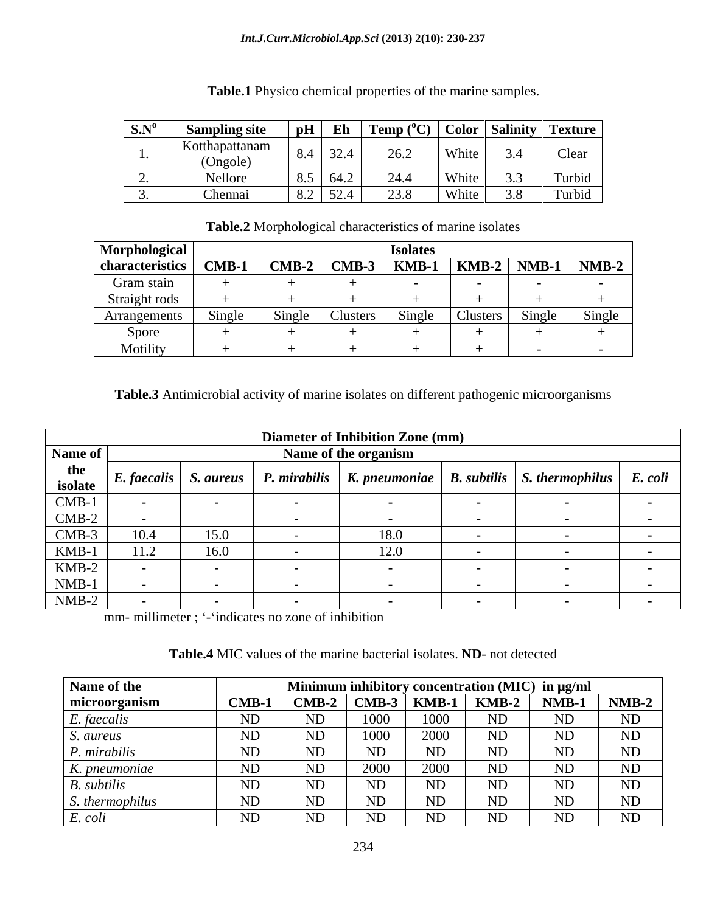| $\mathbf{S}.\mathbf{N}^{\mathrm{o}}$ | wung site –<br>⊿mn⊯ | pH     | Eh                                                      | $\perp$ Temp (                                                                   | Color                                              | <b>Salinity</b>         | Texture |
|--------------------------------------|---------------------|--------|---------------------------------------------------------|----------------------------------------------------------------------------------|----------------------------------------------------|-------------------------|---------|
|                                      | Kotthapattanam      | $\sim$ |                                                         |                                                                                  | Whi:                                               |                         | Clear   |
|                                      | (Ongole)            |        | —⊶ ∠                                                    | –⊶                                                                               |                                                    | ه.ب                     |         |
|                                      | Nellore             | ັບ•ັ   | $\sim$ 4 $\sim$                                         | 24.4                                                                             | $\mathbf{W}$ <sub><math>i</math></sub><br>$\cdots$ |                         | Turbid  |
|                                      | Chennai             |        | $\sim$ $\sim$ $\sim$<br>$\overline{J}$ $\overline{L}$ . | $\Omega$<br>$\mathbf{L}$<br>$\overline{\phantom{a}}\overline{\phantom{a}}\cdots$ | W <sub>hit</sub><br>, ,,,,,                        | 20<br>$\cup \cdot \cup$ | Turbid  |

**Table.1** Physico chemical properties of the marine samples.

**Table.2** Morphological characteristics of marine isolates

| Morphological   |         |         |          | <b>Isolates</b> |          |         |         |
|-----------------|---------|---------|----------|-----------------|----------|---------|---------|
| characteristics | $CMB-1$ | $CMB-2$ | $CMB-3$  | KMB-1           | $KMB-2$  | $NMB-1$ | $NMB-2$ |
| Gram stain      |         |         |          |                 |          |         |         |
| Straight rods   |         |         |          |                 |          |         |         |
| Arrangements    | Single  | Single  | Clusters | Single          | Clusters | Single  | Single  |
| Spore           |         |         |          |                 |          |         |         |
| Motility        |         |         |          |                 |          |         |         |

## **Table.3** Antimicrobial activity of marine isolates on different pathogenic microorganisms

|         |      |      | <b>Diameter of Inhibition Zone (mm)</b> |                                                                                                                                                                      |  |
|---------|------|------|-----------------------------------------|----------------------------------------------------------------------------------------------------------------------------------------------------------------------|--|
| Name of |      |      | Name of the organism                    |                                                                                                                                                                      |  |
| the     |      |      |                                         | $\vert$ isolate $\vert$ E. faecalis $\vert$ S. aureus $\vert$ P. mirabilis $\vert$ K. pneumoniae $\vert$ B. subtilis $\vert$ S. thermophilus $\vert$ E. coli $\vert$ |  |
| $CMB-1$ |      |      |                                         |                                                                                                                                                                      |  |
| $CMB-2$ |      |      |                                         |                                                                                                                                                                      |  |
| $CMB-3$ | 10.4 | 15.0 | 8.O                                     |                                                                                                                                                                      |  |
| KMB-1   | 11.2 | 16.0 | 12.0                                    |                                                                                                                                                                      |  |
| $KMB-2$ |      |      |                                         |                                                                                                                                                                      |  |
| $NMB-1$ |      |      |                                         |                                                                                                                                                                      |  |
| $NMB-2$ |      |      |                                         |                                                                                                                                                                      |  |

mm- millimeter ; '-'indicates no zone of inhibition

| Table.4 MIC values of the marine bacterial isolates. ND- not detected |  |  |
|-----------------------------------------------------------------------|--|--|
|-----------------------------------------------------------------------|--|--|

| Name of the              |                                                                                                                    |    |      |      |    | Minimum inhibitory concentration (MIC) in µg/ml |         |
|--------------------------|--------------------------------------------------------------------------------------------------------------------|----|------|------|----|-------------------------------------------------|---------|
| microorganism            | $\boxed{\text{CMB-1}}$ $\boxed{\text{CMB-2}}$ $\boxed{\text{CMB-3}}$ $\boxed{\text{KMB-1}}$ $\boxed{\text{KMB-2}}$ |    |      |      |    | $NMB-1$                                         | $NMB-2$ |
| '. faecalis              |                                                                                                                    | ND | 1000 | 1000 | ND | ND                                              | ND      |
| S. aureus                |                                                                                                                    | ND | 1000 | 2000 | ND | ND                                              | ND      |
| <sup>2</sup> . mirabilis |                                                                                                                    | ND | ND   | ND   | ND | ND                                              | ND      |
| K. pneumoniae            |                                                                                                                    | ND | 2000 | 2000 | ND | ND                                              | ND      |
| <b>R.</b> subtilis       |                                                                                                                    | ND | ND   | ND   | ND | ND                                              | ND      |
| s. thermophilus          |                                                                                                                    | ND | ND   | ND   | ND | ND                                              | ND      |
| coli                     |                                                                                                                    | ND | ND   | ND   | ND | ND                                              | ND      |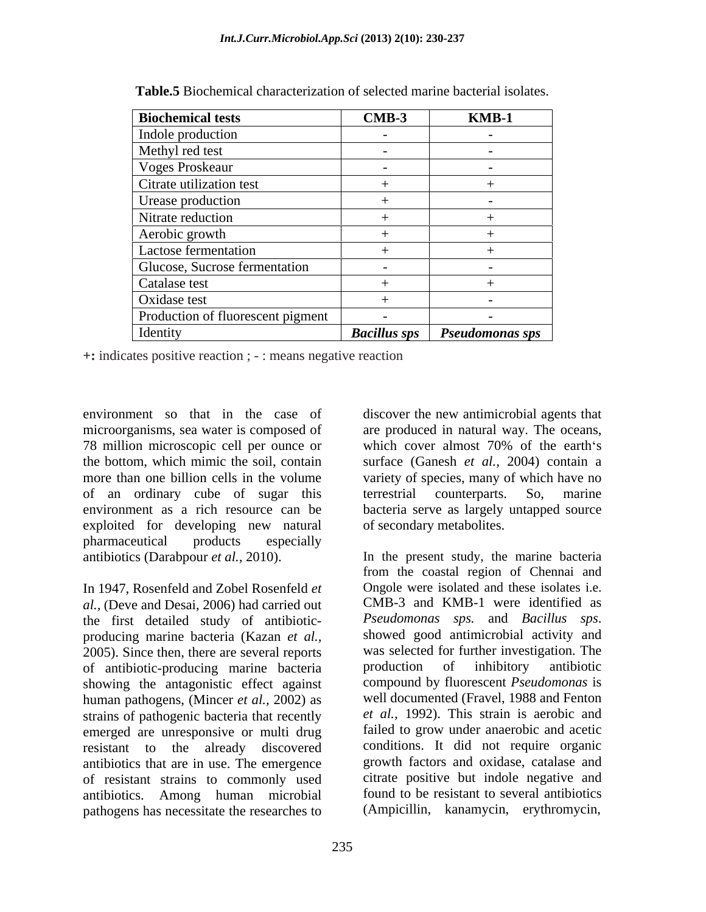| <b>Biochemical tests</b>          | $CMB-3$             | $KMB-1$                  |
|-----------------------------------|---------------------|--------------------------|
| Indole production                 | $-$                 | $\overline{\phantom{0}}$ |
| Methyl red test                   |                     |                          |
| <b>Voges Proskeaur</b>            |                     |                          |
| Citrate utilization test          |                     |                          |
| Urease production                 |                     |                          |
| Nitrate reduction                 |                     |                          |
| Aerobic growth                    |                     |                          |
| Lactose fermentation              |                     |                          |
| Glucose, Sucrose fermentation     |                     |                          |
| Catalase test                     |                     |                          |
| Oxidase test                      |                     |                          |
| Production of fluorescent pigment |                     |                          |
| Identity                          | <b>Bacillus sps</b> | <b>Pseudomonas sps</b>   |

**Table.5** Biochemical characterization of selected marine bacterial isolates.

**+:** indicates positive reaction ; - : means negative reaction

environment so that in the case of discover the new antimicrobial agents that microorganisms, sea water is composed of 78 million microscopic cell per ounce or the bottom, which mimic the soil, contain surface (Ganesh *et al.,* 2004) contain a more than one billion cells in the volume variety of species, many of which have no of an ordinary cube of sugar this environment as a rich resource can be bacteria serve as largely untapped source exploited for developing new natural pharmaceutical products especially

In 1947, Rosenfeld and Zobel Rosenfeld *et al.,* (Deve and Desai, 2006) had carried out CMB-3 and KMB-1 were identified as the first detailed study of antibiotic- *Pseudomonas sps.* and *Bacillus sps.* the first detailed study of antibiotic-<br>
the first detailed study of antibiotic-<br>  $Pseudomonas$  sps. and Bacillus sps.<br>
producing marine bacteria (Kazan et al.<br>
showed good antimicrobial activity and producing marine bacteria (Kazan *et al.,* 2005). Since then, there are several reports was selected for further investigation. The of antibiotic-producing marine bacteria production of inhibitory antibiotic of antibiotic-producing marine bacteria showing the antagonistic effect against human pathogens, (Mincer *et al.,* 2002) as strains of pathogenic bacteria that recently emerged are unresponsive or multi drug resistant to the already discovered antibiotics that are in use. The emergence of resistant strains to commonly used antibiotics. Among human microbial pathogens has necessitate the researches to (Ampicillin, kanamycin, erythromycin,

are produced in natural way. The oceans, which cover almost 70% of the earth's terrestrial counterparts. So, marine of secondary metabolites.

antibiotics (Darabpour *et al.,* 2010). In the present study, the marine bacteria from the coastal region of Chennai and Ongole were isolated and these isolates i.e. CMB-3 and KMB-1 were identified as *Pseudomonas sps.* and *Bacillus sps*. showed good antimicrobial activity and was selected for further investigation. The production of inhibitory antibiotic compound by fluorescent *Pseudomonas* is well documented (Fravel, 1988 and Fenton *et al.,* 1992). This strain is aerobic and failed to grow under anaerobic and acetic conditions. It did not require organic growth factors and oxidase, catalase and citrate positive but indole negative and found to be resistant to several antibiotics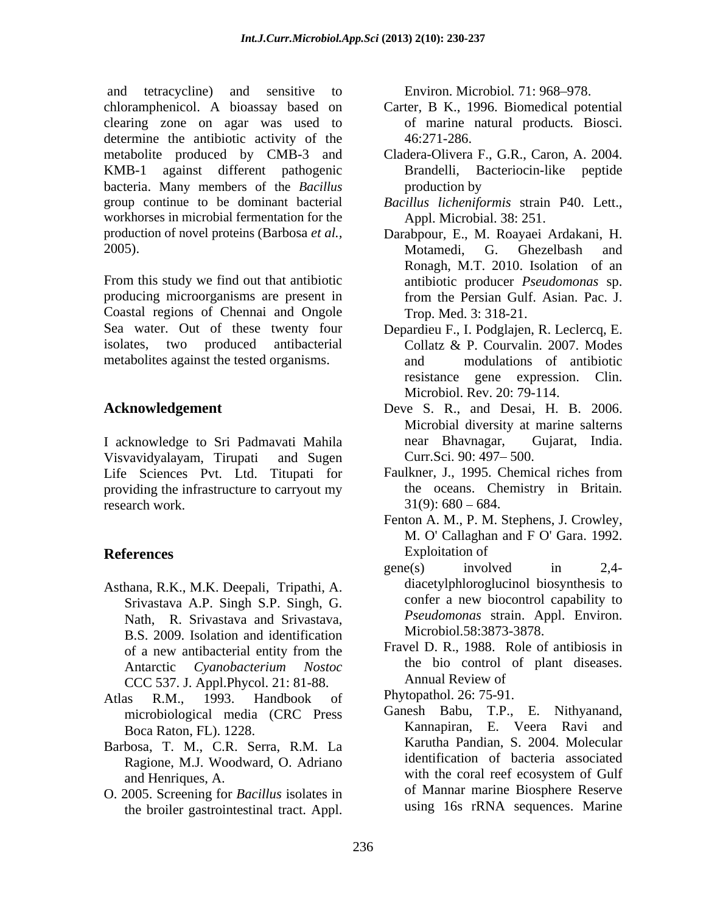and tetracycline) and sensitive to Environ. Microbiol. 71:968–978. chloramphenicol. A bioassay based on clearing zone on agar was used to determine the antibiotic activity of the  $46:271-286$ . metabolite produced by CMB-3 and Cladera-Olivera F., G.R., Caron, A. 2004. KMB-1 against different pathogenic bacteria. Many members of the *Bacillus*  group continue to be dominant bacterial *Bacillus licheniformis* strain P40. Lett., workhorses in microbial fermentation for the

producing microorganisms are present in from the Persian Gulf. Asian. Pac. J. Coastal regions of Chennai and Ongole metabolites against the tested organisms.

I acknowledge to Sri Padmavati Mahila and Bhavnagar, Gujarat, India. Visvavidyalayam, Tirupati and Sugen Curr.Sci. 90: 497–500. Life Sciences Pvt. Ltd. Titupati for Faulkner, J., 1995. Chemical riches from providing the infrastructure to carryout my research work.  $31(9)$ :  $680 - 684$ .

- Asthana, R.K., M.K. Deepali, Tripathi, A. Srivastava A.P. Singh S.P. Singh, G. Nath, R. Srivastava and Srivastava, B.S. 2009. Isolation and identification CCC 537. J. Appl.Phycol. 21: 81-88.
- Atlas R.M., 1993. Handbook of Phytopathol. 26: 15-91. microbiological media (CRC Press
- Barbosa, T. M., C.R. Serra, R.M. La Ragione, M.J. Woodward, O. Adriano
- O. 2005. Screening for *Bacillus* isolates in the broiler gastrointestinal tract. Appl.

Environ. Microbiol. 71: 968–978.

- Carter, B K., 1996. Biomedical potential of marine natural products*.* Biosci. 46:271-286.
- Brandelli, Bacteriocin-like peptide production by **production** by
- Appl. Microbial. 38: 251.
- production of novel proteins (Barbosa *et al.,* Darabpour, E., M. Roayaei Ardakani, H. 2005).<br>
2005). Motamedi, G. Ghezelbash and<br>
Ronagh, M.T. 2010. Isolation of an<br>
From this study we find out that antibiotic antibiotic producer *Pseudomonas* sp. Motamedi, G. Ghezelbash and Ronagh, M.T. 2010. Isolation of an antibiotic producer *Pseudomonas* sp. from the Persian Gulf. Asian. Pac. J. Trop. Med. 3: 318-21.
- Sea water. Out of these twenty four Depardieu F., I. Podglajen, R. Leclercq, E. isolates, two produced antibacterial Collatz & P. Courvalin. 2007. Modes modulations of antibiotic resistance gene expression. Clin. Microbiol. Rev. 20: 79-114.
- **Acknowledgement**  Deve S. R., and Desai, H. B. 2006. Microbial diversity at marine salterns near Bhavnagar, Curr.Sci. 90: 497–500.
	- Faulkner, J., 1995. Chemical riches from the oceans. Chemistry in Britain*.*
- **References** Exploitation of Fenton A. M., P. M. Stephens, J. Crowley, M. O' Callaghan and F O' Gara. 1992. Exploitation of
	- gene(s) involved in 2,4 diacetylphloroglucinol biosynthesis to confer a new biocontrol capability to *Pseudomonas* strain. Appl. Environ. Microbiol.58:3873-3878.
	- of a new antibacterial entity from the Fravel D. R., 1988. Role of antibiosis in Antarctic *Cyanobacterium Nostoc* Fravel D. R., 1988. Role of antibiosis in the bio control of plant diseases. Annual Review of

Phytopathol. 26: 75-91.

Boca Raton, FL). 1228. Kannapiran, E. Veera Ravi and and Henriques, A. with the coral reef ecosystem of Gulf Ganesh Babu, T.P., E. Nithyanand, Karutha Pandian, S. 2004. Molecular identification of bacteria associated with the coral reef ecosystem of Gulf of Mannar marine Biosphere Reserve using 16s rRNA sequences. Marine